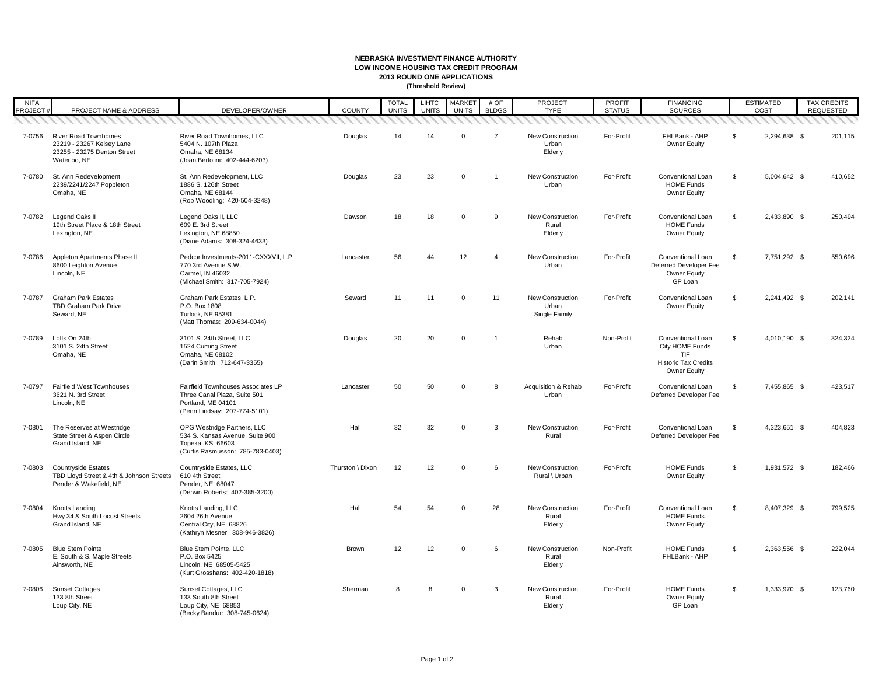| <b>NIFA</b><br><b>PROJECT#</b> | PROJECT NAME & ADDRESS                                                                                  | DEVELOPER/OWNER                                                                                                          | <b>COUNTY</b>    | <b>TOTAL</b><br><b>UNITS</b> | <b>LIHTC</b><br><b>UNITS</b> | <b>MARKET</b><br><b>UNITS</b> | # OF<br><b>BLDGS</b> | <b>PROJECT</b><br><b>TYPE</b>                     | <b>PROFIT</b><br><b>STATUS</b> | <b>FINANCING</b><br><b>SOURCES</b>                                                                              | <b>ESTIMATED</b><br>COST |              | <b>TAX CREDITS</b><br><b>REQUESTED</b> |
|--------------------------------|---------------------------------------------------------------------------------------------------------|--------------------------------------------------------------------------------------------------------------------------|------------------|------------------------------|------------------------------|-------------------------------|----------------------|---------------------------------------------------|--------------------------------|-----------------------------------------------------------------------------------------------------------------|--------------------------|--------------|----------------------------------------|
|                                |                                                                                                         |                                                                                                                          |                  |                              |                              |                               |                      |                                                   |                                |                                                                                                                 |                          |              |                                        |
| 7-0756                         | <b>River Road Townhomes</b><br>23219 - 23267 Kelsey Lane<br>23255 - 23275 Denton Street<br>Waterloo, NE | River Road Townhomes, LLC<br>5404 N. 107th Plaza<br>Omaha, NE 68134<br>(Joan Bertolini: 402-444-6203)                    | Douglas          | 14                           | 14                           | $\overline{0}$                | 7                    | <b>New Construction</b><br>Urban<br>Elderly       | For-Profit                     | FHLBank - AHP<br><b>Owner Equity</b>                                                                            | S.                       | 2,294,638 \$ | 201,115                                |
| 7-0780                         | St. Ann Redevelopment<br>2239/2241/2247 Poppleton<br>Omaha, NE                                          | St. Ann Redevelopment, LLC<br>1886 S. 126th Street<br>Omaha, NE 68144<br>(Rob Woodling: 420-504-3248)                    | Douglas          | 23                           | 23                           | $\overline{0}$                |                      | <b>New Construction</b><br>Urban                  | For-Profit                     | <b>Conventional Loan</b><br><b>HOME Funds</b><br><b>Owner Equity</b>                                            | $\sqrt[6]{2}$            | 5,004,642 \$ | 410,652                                |
| 7-0782                         | Legend Oaks II<br>19th Street Place & 18th Street<br>Lexington, NE                                      | Legend Oaks II, LLC<br>609 E. 3rd Street<br>Lexington, NE 68850<br>(Diane Adams: 308-324-4633)                           | Dawson           | 18                           | 18                           | $\overline{0}$                | 9                    | <b>New Construction</b><br>Rural<br>Elderly       | For-Profit                     | <b>Conventional Loan</b><br><b>HOME Funds</b><br><b>Owner Equity</b>                                            | \$                       | 2,433,890 \$ | 250,494                                |
| 7-0786                         | Appleton Apartments Phase II<br>8600 Leighton Avenue<br>Lincoln, NE                                     | Pedcor Investments-2011-CXXXVII, L.P.<br>770 3rd Avenue S.W.<br>Carmel, IN 46032<br>(Michael Smith: 317-705-7924)        | Lancaster        | 56                           | 44                           | 12                            | $\overline{4}$       | <b>New Construction</b><br>Urban                  | For-Profit                     | <b>Conventional Loan</b><br>Deferred Developer Fee<br><b>Owner Equity</b><br>GP Loan                            | $\sqrt[6]{2}$            | 7,751,292 \$ | 550,696                                |
| 7-0787                         | <b>Graham Park Estates</b><br><b>TBD Graham Park Drive</b><br>Seward, NE                                | Graham Park Estates, L.P.<br>P.O. Box 1808<br>Turlock, NE 95381<br>(Matt Thomas: 209-634-0044)                           | Seward           | 11                           | 11                           | $\overline{0}$                | 11                   | <b>New Construction</b><br>Urban<br>Single Family | For-Profit                     | Conventional Loan<br><b>Owner Equity</b>                                                                        | $\sqrt[6]{2}$            | 2,241,492 \$ | 202,141                                |
| 7-0789                         | Lofts On 24th<br>3101 S. 24th Street<br>Omaha, NE                                                       | 3101 S. 24th Street, LLC<br>1524 Cuming Street<br>Omaha, NE 68102<br>(Darin Smith: 712-647-3355)                         | Douglas          | 20                           | 20                           | $\overline{0}$                |                      | Rehab<br>Urban                                    | Non-Profit                     | <b>Conventional Loan</b><br>City HOME Funds<br><b>TIF</b><br><b>Historic Tax Credits</b><br><b>Owner Equity</b> | $\sqrt[6]{2}$            | 4,010,190 \$ | 324,324                                |
| 7-0797                         | <b>Fairfield West Townhouses</b><br>3621 N. 3rd Street<br>Lincoln, NE                                   | Fairfield Townhouses Associates LP<br>Three Canal Plaza, Suite 501<br>Portland, ME 04101<br>(Penn Lindsay: 207-774-5101) | Lancaster        | 50                           | 50                           | $\Omega$                      | 8                    | Acquisition & Rehab<br>Urban                      | For-Profit                     | <b>Conventional Loan</b><br>Deferred Developer Fee                                                              | \$                       | 7,455,865 \$ | 423,517                                |
| 7-0801                         | The Reserves at Westridge<br>State Street & Aspen Circle<br>Grand Island, NE                            | OPG Westridge Partners, LLC<br>534 S. Kansas Avenue, Suite 900<br>Topeka, KS 66603<br>(Curtis Rasmusson: 785-783-0403)   | Hall             | 32                           | 32                           | $\overline{0}$                | 3                    | <b>New Construction</b><br>Rural                  | For-Profit                     | <b>Conventional Loan</b><br>Deferred Developer Fee                                                              | \$                       | 4,323,651 \$ | 404,823                                |
| 7-0803                         | <b>Countryside Estates</b><br>TBD Lloyd Street & 4th & Johnson Streets<br>Pender & Wakefield, NE        | Countryside Estates, LLC<br>610 4th Street<br>Pender, NE 68047<br>(Derwin Roberts: 402-385-3200)                         | Thurston \ Dixon | 12                           | 12                           | $\overline{0}$                | 6                    | <b>New Construction</b><br>Rural \ Urban          | For-Profit                     | <b>HOME Funds</b><br><b>Owner Equity</b>                                                                        | $\frac{1}{2}$            | 1,931,572 \$ | 182,466                                |
| 7-0804                         | Knotts Landing<br>Hwy 34 & South Locust Streets<br>Grand Island, NE                                     | Knotts Landing, LLC<br>2604 26th Avenue<br>Central City, NE 68826<br>(Kathryn Mesner: 308-946-3826)                      | Hall             | 54                           | 54                           | $\overline{0}$                | 28                   | <b>New Construction</b><br>Rural<br>Elderly       | For-Profit                     | <b>Conventional Loan</b><br><b>HOME Funds</b><br><b>Owner Equity</b>                                            | $\mathfrak{S}$           | 8,407,329 \$ | 799,525                                |
| 7-0805                         | <b>Blue Stem Pointe</b><br>E. South & S. Maple Streets<br>Ainsworth, NE                                 | Blue Stem Pointe, LLC<br>P.O. Box 5425<br>Lincoln, NE 68505-5425<br>(Kurt Grosshans: 402-420-1818)                       | <b>Brown</b>     | 12 <sup>°</sup>              | 12                           | $\overline{0}$                | 6                    | <b>New Construction</b><br>Rural<br>Elderly       | Non-Profit                     | <b>HOME Funds</b><br>FHLBank - AHP                                                                              | $\sqrt[6]{2}$            | 2,363,556 \$ | 222,044                                |
| 7-0806                         | <b>Sunset Cottages</b><br>133 8th Street<br>Loup City, NE                                               | Sunset Cottages, LLC<br>133 South 8th Street<br>Loup City, NE 68853<br>(Becky Bandur: 308-745-0624)                      | Sherman          |                              | 8                            | $\Omega$                      | 3                    | <b>New Construction</b><br>Rural<br>Elderly       | For-Profit                     | <b>HOME Funds</b><br><b>Owner Equity</b><br>GP Loan                                                             | $\frac{1}{2}$            | 1,333,970 \$ | 123,760                                |

## **NEBRASKA INVESTMENT FINANCE AUTHORITY LOW INCOME HOUSING TAX CREDIT PROGRAM 2013 ROUND ONE APPLICATIONS (Threshold Review)**